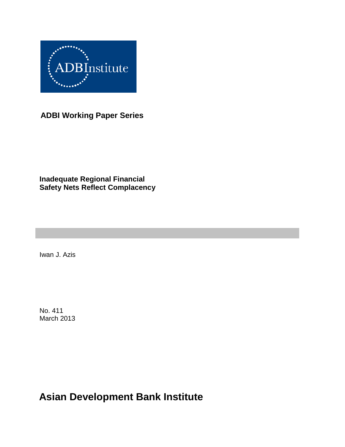

**ADBI Working Paper Series**

### **Inadequate Regional Financial Safety Nets Reflect Complacency**

Iwan J. Azis

No. 411 March 2013

**Asian Development Bank Institute**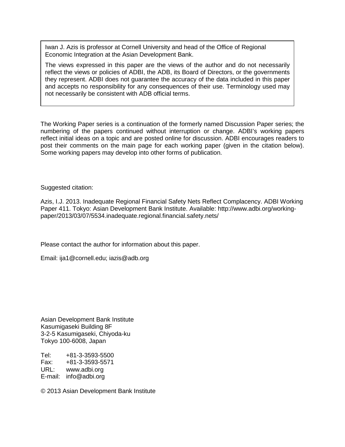Iwan J. Azis is professor at Cornell University and head of the Office of Regional Economic Integration at the Asian Development Bank.

The views expressed in this paper are the views of the author and do not necessarily reflect the views or policies of ADBI, the ADB, its Board of Directors, or the governments they represent. ADBI does not guarantee the accuracy of the data included in this paper and accepts no responsibility for any consequences of their use. Terminology used may not necessarily be consistent with ADB official terms.

The Working Paper series is a continuation of the formerly named Discussion Paper series; the numbering of the papers continued without interruption or change. ADBI's working papers reflect initial ideas on a topic and are posted online for discussion. ADBI encourages readers to post their comments on the main page for each working paper (given in the citation below). Some working papers may develop into other forms of publication.

Suggested citation:

Azis, I.J. 2013. Inadequate Regional Financial Safety Nets Reflect Complacency. ADBI Working Paper 411. Tokyo: Asian Development Bank Institute. Available: http://www.adbi.org/workingpaper/2013/03/07/5534.inadequate.regional.financial.safety.nets/

Please contact the author for information about this paper.

Email: [ija1@cornell.edu;](mailto:ija1@cornell.edu) iazis@adb.org

Asian Development Bank Institute Kasumigaseki Building 8F 3-2-5 Kasumigaseki, Chiyoda-ku Tokyo 100-6008, Japan

Tel: +81-3-3593-5500 Fax: +81-3-3593-5571 URL: www.adbi.org E-mail: info@adbi.org

© 2013 Asian Development Bank Institute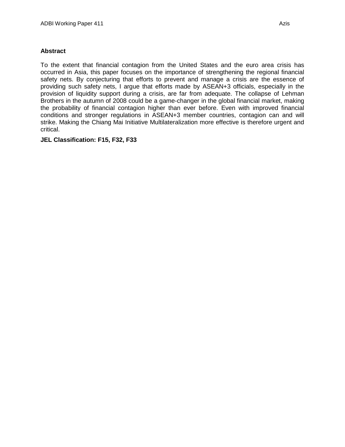#### **Abstract**

To the extent that financial contagion from the United States and the euro area crisis has occurred in Asia, this paper focuses on the importance of strengthening the regional financial safety nets. By conjecturing that efforts to prevent and manage a crisis are the essence of providing such safety nets, I argue that efforts made by ASEAN+3 officials, especially in the provision of liquidity support during a crisis, are far from adequate. The collapse of Lehman Brothers in the autumn of 2008 could be a game-changer in the global financial market, making the probability of financial contagion higher than ever before. Even with improved financial conditions and stronger regulations in ASEAN+3 member countries, contagion can and will strike. Making the Chiang Mai Initiative Multilateralization more effective is therefore urgent and critical.

#### **JEL Classification: F15, F32, F33**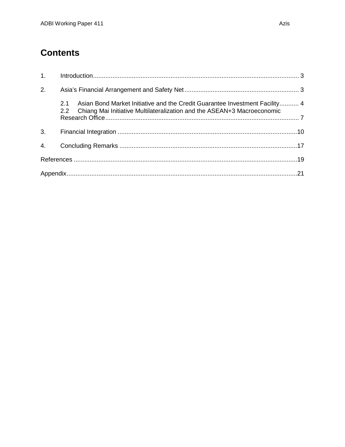# **Contents**

| 2. |                                                                                                                                                                   |  |
|----|-------------------------------------------------------------------------------------------------------------------------------------------------------------------|--|
|    | Asian Bond Market Initiative and the Credit Guarantee Investment Facility 4<br>2.1<br>2.2 Chiang Mai Initiative Multilateralization and the ASEAN+3 Macroeconomic |  |
|    |                                                                                                                                                                   |  |
|    |                                                                                                                                                                   |  |
|    |                                                                                                                                                                   |  |
|    |                                                                                                                                                                   |  |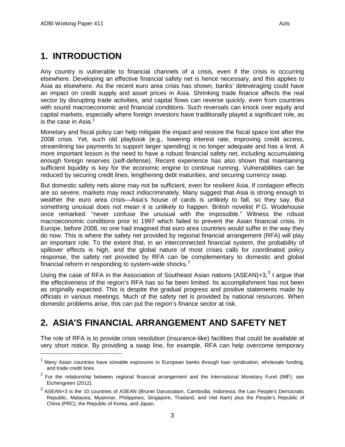## <span id="page-4-0"></span>**1. INTRODUCTION**

Any country is vulnerable to financial channels of a crisis, even if the crisis is occurring elsewhere. Developing an effective financial safety net is hence necessary, and this applies to Asia as elsewhere. As the recent euro area crisis has shown, banks' deleveraging could have an impact on credit supply and asset prices in Asia. Shrinking trade finance affects the real sector by disrupting trade activities, and capital flows can reverse quickly, even from countries with sound macroeconomic and financial conditions. Such reversals can knock over equity and capital markets, especially where foreign investors have traditionally played a significant role, as is the case in Asia. $1$ 

Monetary and fiscal policy can help mitigate the impact and restore the fiscal space lost after the 2008 crisis. Yet, such old playbook (e.g., lowering interest rate, improving credit access, streamlining tax payments to support larger spending) is no longer adequate and has a limit. A more important lesson is the need to have a robust financial safety net, including accumulating enough foreign reserves (self-defense). Recent experience has also shown that maintaining sufficient liquidity is key for the economic engine to continue running. Vulnerabilities can be reduced by securing credit lines, lengthening debt maturities, and securing currency swap.

But domestic safety nets alone may not be sufficient, even for resilient Asia. If contagion effects are so severe, markets may react indiscriminately. Many suggest that Asia is strong enough to weather the euro area crisis—Asia's house of cards is unlikely to fall, so they say. But something unusual does not mean it is unlikely to happen. British novelist P.G. Wodehouse once remarked: "never confuse the unusual with the impossible." Witness the robust macroeconomic conditions prior to 1997 which failed to prevent the Asian financial crisis. In Europe, before 2008, no one had imagined that euro area countries would suffer in the way they do now. This is where the safety net provided by regional financial arrangement (RFA) will play an important role. To the extent that, in an interconnected financial system, the probability of spillover effects is high, and the global nature of most crises calls for coordinated policy response, the safety net provided by RFA can be complementary to domestic and global financial reform in responding to system-wide shocks. $2$ 

Using the case of RFA in the Association of Southeast Asian nations (ASEAN)+[3](#page-4-4), $3$  I argue that the effectiveness of the region's RFA has so far been limited. Its accomplishment has not been as originally expected. This is despite the gradual progress and positive statements made by officials in various meetings. Much of the safety net is provided by national resources. When domestic problems arise, this can put the region's finance sector at risk.

# <span id="page-4-1"></span>**2. ASIA'S FINANCIAL ARRANGEMENT AND SAFETY NET**

The role of RFA is to provide crisis resolution (insurance-like) facilities that could be available at very short notice. By providing a swap line, for example, RFA can help overcome temporary

<span id="page-4-2"></span> $1$  Manv Asian countries have sizeable exposures to European banks through loan syndication, wholesale funding, and trade credit lines.

<span id="page-4-3"></span> $2$  For the relationship between regional financial arrangement and the International Monetary Fund (IMF), see Eichengreen (2012).

<span id="page-4-4"></span><sup>&</sup>lt;sup>3</sup> ASEAN+3 is the 10 countries of ASEAN (Brunei Darussalam, Cambodia, [Indonesia,](http://en.wikipedia.org/wiki/Indonesia) the Lao People's Democratic Republic, [Malaysia,](http://en.wikipedia.org/wiki/Malaysia) [Myanmar,](http://en.wikipedia.org/wiki/Burma) [Philippines,](http://en.wikipedia.org/wiki/Philippines) [Singapore,](http://en.wikipedia.org/wiki/Singapore) [Thailand,](http://en.wikipedia.org/wiki/Thailand) and [Viet Nam\)](http://en.wikipedia.org/wiki/Vietnam) plus the People's Republic of China (PRC), the Republic of Korea, and Japan.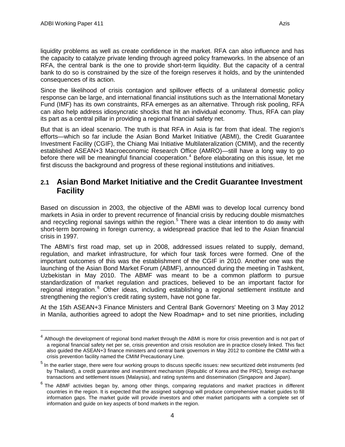liquidity problems as well as create confidence in the market. RFA can also influence and has the capacity to catalyze private lending through agreed policy frameworks. In the absence of an RFA, the central bank is the one to provide short-term liquidity. But the capacity of a central bank to do so is constrained by the size of the foreign reserves it holds, and by the unintended consequences of its action.

Since the likelihood of crisis contagion and spillover effects of a unilateral domestic policy response can be large, and international financial institutions such as the International Monetary Fund (IMF) has its own constraints, RFA emerges as an alternative. Through risk pooling, RFA can also help address idiosyncratic shocks that hit an individual economy. Thus, RFA can play its part as a central pillar in providing a regional financial safety net.

But that is an ideal scenario. The truth is that RFA in Asia is far from that ideal. The region's efforts—which so far include the Asian Bond Market Initiative (ABMI), the Credit Guarantee Investment Facility (CGIF), the Chiang Mai Initiative Multilateralization (CMIM), and the recently established ASEAN+3 Macroeconomic Research Office (AMRO)—still have a long way to go before there will be meaningful financial cooperation.<sup>[4](#page-5-1)</sup> Before elaborating on this issue, let me first discuss the background and progress of these regional institutions and initiatives.

#### <span id="page-5-0"></span>**2.1 Asian Bond Market Initiative and the Credit Guarantee Investment Facility**

Based on discussion in 2003, the objective of the ABMI was to develop local currency bond markets in Asia in order to prevent recurrence of financial crisis by reducing double mismatches and recycling regional savings within the region.<sup>[5](#page-5-2)</sup> There was a clear intention to do away with short-term borrowing in foreign currency, a widespread practice that led to the Asian financial crisis in 1997.

The ABMI's first road map, set up in 2008, addressed issues related to supply, demand, regulation, and market infrastructure, for which four task forces were formed. One of the important outcomes of this was the establishment of the CGIF in 2010. Another one was the launching of the Asian Bond Market Forum (ABMF), announced during the meeting in Tashkent, Uzbekistan in May 2010. The ABMF was meant to be a common platform to pursue standardization of market regulation and practices, believed to be an important factor for regional integration.<sup>[6](#page-5-3)</sup> Other ideas, including establishing a regional settlement institute and strengthening the region's credit rating system, have not gone far.

At the 15th ASEAN+3 Finance Ministers and Central Bank Governors' Meeting on 3 May 2012 in Manila, authorities agreed to adopt the New Roadmap+ and to set nine priorities, including

<span id="page-5-1"></span><sup>&</sup>lt;sup>4</sup> Although the development of regional bond market through the ABMI is more for crisis prevention and is not part of a regional financial safety net per se, crisis prevention and crisis resolution are in practice closely linked. This fact also guided the ASEAN+3 finance ministers and central bank governors in May 2012 to combine the CMIM with a crisis prevention facility named the CMIM Precautionary Line.

<span id="page-5-2"></span><sup>&</sup>lt;sup>5</sup> In the earlier stage, there were four working groups to discuss specific issues: new securitized debt instruments (led by Thailand), a credit guarantee and investment mechanism (Republic of Korea and the PRC), foreign exchange transactions and settlement issues (Malaysia), and rating systems and dissemination (Singapore and Japan).

<span id="page-5-3"></span> $6$  The ABMF activities began by, among other things, comparing regulations and market practices in different countries in the region. It is expected that the assigned subgroup will produce comprehensive market guides to fill information gaps. The market guide will provide investors and other market participants with a complete set of information and guide on key aspects of bond markets in the region.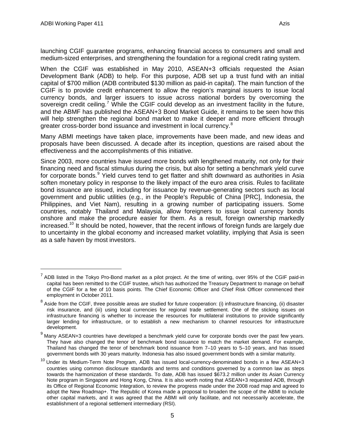launching CGIF guarantee programs, enhancing financial access to consumers and small and medium-sized enterprises, and strengthening the foundation for a regional credit rating system.

When the CGIF was established in May 2010, ASEAN+3 officials requested the Asian Development Bank (ADB) to help. For this purpose, ADB set up a trust fund with an initial capital of \$700 million (ADB contributed \$130 million as paid-in capital). The main function of the CGIF is to provide credit enhancement to allow the region's marginal issuers to issue local currency bonds, and larger issuers to issue across national borders by overcoming the sovereign credit ceiling.<sup>[7](#page-6-0)</sup> While the CGIF could develop as an investment facility in the future, and the ABMF has published the ASEAN+3 Bond Market Guide, it remains to be seen how this will help strengthen the regional bond market to make it deeper and more efficient through greater cross-border bond issuance and investment in local currency.<sup>[8](#page-6-1)</sup>

Many ABMI meetings have taken place, improvements have been made, and new ideas and proposals have been discussed. A decade after its inception, questions are raised about the effectiveness and the accomplishments of this initiative.

Since 2003, more countries have issued more bonds with lengthened maturity, not only for their financing need and fiscal stimulus during the crisis, but also for setting a benchmark yield curve for corporate bonds.<sup>[9](#page-6-2)</sup> Yield curves tend to get flatter and shift downward as authorities in Asia soften monetary policy in response to the likely impact of the euro area crisis. Rules to facilitate bond issuance are issued, including for issuance by revenue-generating sectors such as local government and public utilities (e.g., in the People's Republic of China [PRC], Indonesia, the Philippines, and Viet Nam), resulting in a growing number of participating issuers. Some countries, notably Thailand and Malaysia, allow foreigners to issue local currency bonds onshore and make the procedure easier for them. As a result, foreign ownership markedly increased.<sup>[10](#page-6-3)</sup> It should be noted, however, that the recent inflows of foreign funds are largely due to uncertainty in the global economy and increased market volatility, implying that Asia is seen as a safe haven by most investors.

<span id="page-6-0"></span> $<sup>7</sup>$  ADB listed in the Tokyo Pro-Bond market as a pilot project. At the time of writing, over 95% of the CGIF paid-in</sup> capital has been remitted to the CGIF trustee, which has authorized the Treasury Department to manage on behalf of the CGIF for a fee of 10 basis points. The Chief Economic Officer and Chief Risk Officer commenced their employment in October 2011.

<span id="page-6-1"></span> $8$  Aside from the CGIF, three possible areas are studied for future cooperation: (i) infrastructure financing, (ii) disaster risk insurance, and (iii) using local currencies for regional trade settlement. One of the sticking issues on infrastructure financing is whether to increase the resources for multilateral institutions to provide significantly larger lending for infrastructure, or to establish a new mechanism to channel resources for infrastructure development.

<span id="page-6-2"></span> $<sup>9</sup>$  Manv ASEAN+3 countries have developed a benchmark yield curve for corporate bonds over the past few years.</sup> They have also changed the tenor of benchmark bond issuance to match the market demand. For example, Thailand has changed the tenor of benchmark bond issuance from 7–10 years to 5–10 years, and has issued government bonds with 30 years maturity. Indonesia has also issued government bonds with a similar maturity.

<span id="page-6-3"></span><sup>&</sup>lt;sup>10</sup> Under its Medium-Term Note Program, ADB has issued local-currency-denominated bonds in a few ASEAN+3 countries using common disclosure standards and terms and conditions governed by a common law as steps towards the harmonization of these standards. To date, ADB has issued \$673.2 million under its Asian Currency Note program in Singapore and Hong Kong, China. It is also worth noting that ASEAN+3 requested ADB, through its Office of Regional Economic Integration, to review the progress made under the 2008 road map and agreed to adopt the New Roadmap+. The Republic of Korea made a proposal to broaden the scope of the ABMI to include other capital markets, and it was agreed that the ABMI will only facilitate, and not necessarily accelerate, the establishment of a regional settlement intermediary (RSI).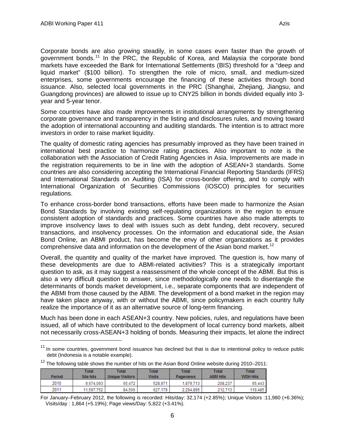Corporate bonds are also growing steadily, in some cases even faster than the growth of government bonds.<sup>[11](#page-7-0)</sup> In the PRC, the Republic of Korea, and Malaysia the corporate bond markets have exceeded the Bank for International Settlements (BIS) threshold for a "deep and liquid market" (\$100 billion). To strengthen the role of micro, small, and medium-sized enterprises, some governments encourage the financing of these activities through bond issuance. Also, selected local governments in the PRC (Shanghai, Zhejiang, Jiangsu, and Guangdong provinces) are allowed to issue up to CNY25 billion in bonds divided equally into 3 year and 5-year tenor.

Some countries have also made improvements in institutional arrangements by strengthening corporate governance and transparency in the listing and disclosures rules, and moving toward the adoption of international accounting and auditing standards. The intention is to attract more investors in order to raise market liquidity.

The quality of domestic rating agencies has presumably improved as they have been trained in international best practice to harmonize rating practices. Also important to note is the collaboration with the Association of Credit Rating Agencies in Asia. Improvements are made in the registration requirements to be in line with the adoption of ASEAN+3 standards. Some countries are also considering accepting the International Financial Reporting Standards (IFRS) and International Standards on Auditing (ISA) for cross-border offering, and to comply with International Organization of Securities Commissions (IOSCO) principles for securities regulations.

To enhance cross-border bond transactions, efforts have been made to harmonize the Asian Bond Standards by involving existing self-regulating organizations in the region to ensure consistent adoption of standards and practices. Some countries have also made attempts to improve insolvency laws to deal with issues such as debt funding, debt recovery, secured transactions, and insolvency processes. On the information and educational side, the Asian Bond Online, an ABMI product, has become the envy of other organizations as it provides comprehensive data and information on the development of the Asian bond market.<sup>[12](#page-7-1)</sup>

Overall, the quantity and quality of the market have improved. The question is, how many of these developments are due to ABMI-related activities? This is a strategically important question to ask, as it may suggest a reassessment of the whole concept of the ABMI. But this is also a very difficult question to answer, since methodologically one needs to disentangle the determinants of bonds market development, i.e., separate components that are independent of the ABMI from those caused by the ABMI. The development of a bond market in the region may have taken place anyway, with or without the ABMI, since policymakers in each country fully realize the importance of it as an alternative source of long-term financing.

Much has been done in each ASEAN+3 country. New policies, rules, and regulations have been issued, all of which have contributed to the development of local currency bond markets, albeit not necessarily cross-ASEAN+3 holding of bonds. Measuring their impacts, let alone the indirect

<span id="page-7-0"></span><sup>&</sup>lt;sup>11</sup> In some countries, government bond issuance has declined but that is due to intentional policy to reduce public debt (Indonesia is a notable example).

<span id="page-7-1"></span>

|       |       |              | $12$ The following table shows the number of hits on the Asian Bond Online website during 2010-2011 |              |       |
|-------|-------|--------------|-----------------------------------------------------------------------------------------------------|--------------|-------|
| Total | Total | <b>Total</b> | Total                                                                                               | <b>Total</b> | Total |

| Period | ι υιαι<br><b>Site hits</b> | ι υιαι<br>Unique Visitors | πυιαι<br>Visits | πυιαι<br>Pageviews | ι υιαι<br><b>ABM Hits</b> | ι υιαι<br><b>WDH Hits</b> |
|--------|----------------------------|---------------------------|-----------------|--------------------|---------------------------|---------------------------|
| 2010   | 9.674.093                  | 65.472                    | 528.971         | 1,879,713          | 208.237                   | 65.443                    |
| 2011   | 11,597,752                 | 84.506                    | 179<br>627      | 2.294.895          | 212.713                   | 119.485                   |

For January–February 2012, the following is recorded: Hits/day: 32,174 (+2.85%); Unique Visitors :11,980 (+6.36%); Visits/day : 1,864 (+5.19%); Page views/Day: 5,822 (+3.41%).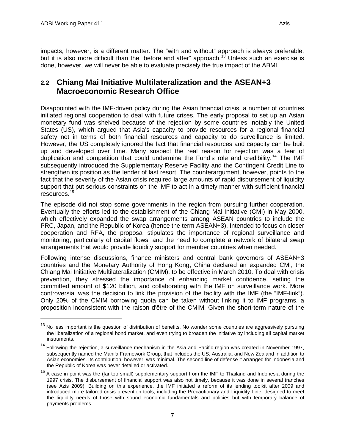impacts, however, is a different matter. The "with and without" approach is always preferable, but it is also more difficult than the "before and after" approach.<sup>[13](#page-8-1)</sup> Unless such an exercise is done, however, we will never be able to evaluate precisely the true impact of the ABMI.

### <span id="page-8-0"></span>**2.2 Chiang Mai Initiative Multilateralization and the ASEAN+3 Macroeconomic Research Office**

Disappointed with the IMF-driven policy during the Asian financial crisis, a number of countries initiated regional cooperation to deal with future crises. The early proposal to set up an Asian monetary fund was shelved because of the rejection by some countries, notably the United States (US), which argued that Asia's capacity to provide resources for a regional financial safety net in terms of both financial resources and capacity to do surveillance is limited. However, the US completely ignored the fact that financial resources and capacity can be built up and developed over time. Many suspect the real reason for rejection was a fear of duplication and competition that could undermine the Fund's role and credibility.<sup>[14](#page-8-2)</sup> The IMF subsequently introduced the Supplementary Reserve Facility and the Contingent Credit Line to strengthen its position as the lender of last resort. The counterargument, however, points to the fact that the severity of the Asian crisis required large amounts of rapid disbursement of liquidity support that put serious constraints on the IMF to act in a timely manner with sufficient financial resources.[15](#page-8-3)

The episode did not stop some governments in the region from pursuing further cooperation. Eventually the efforts led to the establishment of the Chiang Mai Initiative (CMI) in May 2000, which effectively expanded the swap arrangements among ASEAN countries to include the PRC, Japan, and the Republic of Korea (hence the term ASEAN+3). Intended to focus on closer cooperation and RFA, the proposal stipulates the importance of regional surveillance and monitoring, particularly of capital flows, and the need to complete a network of bilateral swap arrangements that would provide liquidity support for member countries when needed.

Following intense discussions, finance ministers and central bank governors of ASEAN+3 countries and the Monetary Authority of Hong Kong, China declared an expanded CMI, the Chiang Mai Initiative Multilateralization (CMIM), to be effective in March 2010. To deal with crisis prevention, they stressed the importance of enhancing market confidence, setting the committed amount of \$120 billion, and collaborating with the IMF on surveillance work. More controversial was the decision to link the provision of the facility with the IMF (the "IMF-link"). Only 20% of the CMIM borrowing quota can be taken without linking it to IMF programs, a proposition inconsistent with the raison d'être of the CMIM. Given the short-term nature of the

<span id="page-8-1"></span> $13$  No less important is the question of distribution of benefits. No wonder some countries are aggressively pursuing the liberalization of a regional bond market, and even trying to broaden the initiative by including all capital market instruments.

<span id="page-8-2"></span><sup>&</sup>lt;sup>14</sup> Following the reiection, a surveillance mechanism in the Asia and Pacific region was created in November 1997, subsequently named the Manila Framework Group, that includes the US, Australia, and New Zealand in addition to Asian economies. Its contribution, however, was minimal. The second line of defense it arranged for Indonesia and the Republic of Korea was never detailed or activated.

<span id="page-8-3"></span> $15$  A case in point was the (far too small) supplementary support from the IMF to Thailand and Indonesia during the 1997 crisis. The disbursement of financial support was also not timely, because it was done in several tranches (see Azis 2009). Building on this experience, the IMF initiated a reform of its lending toolkit after 2009 and introduced more tailored crisis prevention tools, including the Precautionary and Liquidity Line, designed to meet the liquidity needs of those with sound economic fundamentals and policies but with temporary balance of payments problems.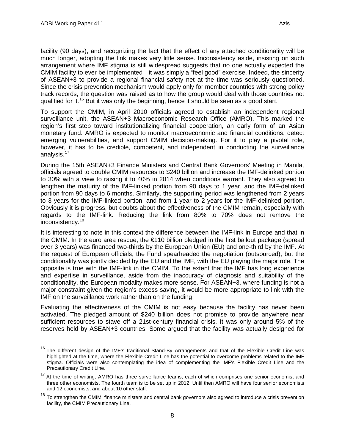facility (90 days), and recognizing the fact that the effect of any attached conditionality will be much longer, adopting the link makes very little sense. Inconsistency aside, insisting on such arrangement where IMF stigma is still widespread suggests that no one actually expected the CMIM facility to ever be implemented—it was simply a "feel good" exercise. Indeed, the sincerity of ASEAN+3 to provide a regional financial safety net at the time was seriously questioned. Since the crisis prevention mechanism would apply only for member countries with strong policy track records, the question was raised as to how the group would deal with those countries not qualified for it.<sup>[16](#page-9-0)</sup> But it was only the beginning, hence it should be seen as a good start.

To support the CMIM, in April 2010 officials agreed to establish an independent regional surveillance unit, the ASEAN+3 Macroeconomic Research Office (AMRO). This marked the region's first step toward institutionalizing financial cooperation, an early form of an Asian monetary fund. AMRO is expected to monitor macroeconomic and financial conditions, detect emerging vulnerabilities, and support CMIM decision-making. For it to play a pivotal role, however, it has to be credible, competent, and independent in conducting the surveillance analysis.<sup>[17](#page-9-1)</sup>

During the 15th ASEAN+3 Finance Ministers and Central Bank Governors' Meeting in Manila, officials agreed to double CMIM resources to \$240 billion and increase the IMF-delinked portion to 30% with a view to raising it to 40% in 2014 when conditions warrant. They also agreed to lengthen the maturity of the IMF-linked portion from 90 days to 1 year, and the IMF-delinked portion from 90 days to 6 months. Similarly, the supporting period was lengthened from 2 years to 3 years for the IMF-linked portion, and from 1 year to 2 years for the IMF-delinked portion. Obviously it is progress, but doubts about the effectiveness of the CMIM remain, especially with regards to the IMF-link. Reducing the link from 80% to 70% does not remove the inconsistency.[18](#page-9-2)

It is interesting to note in this context the difference between the IMF-link in Europe and that in the CMIM. In the euro area rescue, the €110 billion pledged in the first bailout package (spread over 3 years) was financed two-thirds by the European Union (EU) and one-third by the IMF. At the request of European officials, the Fund spearheaded the negotiation (outsourced), but the conditionality was jointly decided by the EU and the IMF, with the EU playing the major role. The opposite is true with the IMF-link in the CMIM. To the extent that the IMF has long experience and expertise in surveillance, aside from the inaccuracy of diagnosis and suitability of the conditionality, the European modality makes more sense. For ASEAN+3, where funding is not a major constraint given the region's excess saving, it would be more appropriate to link with the IMF on the surveillance work rather than on the funding.

Evaluating the effectiveness of the CMIM is not easy because the facility has never been activated. The pledged amount of \$240 billion does not promise to provide anywhere near sufficient resources to stave off a 21st-century financial crisis. It was only around 5% of the reserves held by ASEAN+3 countries. Some argued that the facility was actually designed for

<span id="page-9-0"></span><sup>&</sup>lt;sup>16</sup> The different design of the IMF's traditional Stand-By Arrangements and that of the Flexible Credit Line was highlighted at the time, where the Flexible Credit Line has the potential to overcome problems related to the IMF stigma. Officials were also contemplating the idea of complementing the IMF's Flexible Credit Line and the Precautionary Credit Line.

<span id="page-9-1"></span><sup>&</sup>lt;sup>17</sup> At the time of writing, AMRO has three surveillance teams, each of which comprises one senior economist and three other economists. The fourth team is to be set up in 2012. Until then AMRO will have four senior economists and 12 economists, and about 10 other staff.

<span id="page-9-2"></span> $18$  To strengthen the CMIM, finance ministers and central bank governors also agreed to introduce a crisis prevention facility, the CMIM Precautionary Line.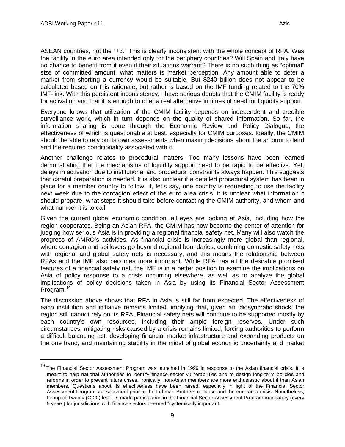ASEAN countries, not the "+3." This is clearly inconsistent with the whole concept of RFA. Was the facility in the euro area intended only for the periphery countries? Will Spain and Italy have no chance to benefit from it even if their situations warrant? There is no such thing as "optimal" size of committed amount, what matters is market perception. Any amount able to deter a market from shorting a currency would be suitable. But \$240 billion does not appear to be calculated based on this rationale, but rather is based on the IMF funding related to the 70% IMF-link. With this persistent inconsistency, I have serious doubts that the CMIM facility is ready for activation and that it is enough to offer a real alternative in times of need for liquidity support.

Everyone knows that utilization of the CMIM facility depends on independent and credible surveillance work, which in turn depends on the quality of shared information. So far, the information sharing is done through the Economic Review and Policy Dialogue, the effectiveness of which is questionable at best, especially for CMIM purposes. Ideally, the CMIM should be able to rely on its own assessments when making decisions about the amount to lend and the required conditionality associated with it.

Another challenge relates to procedural matters. Too many lessons have been learned demonstrating that the mechanisms of liquidity support need to be rapid to be effective. Yet, delays in activation due to institutional and procedural constraints always happen. This suggests that careful preparation is needed. It is also unclear if a detailed procedural system has been in place for a member country to follow. If, let's say, one country is requesting to use the facility next week due to the contagion effect of the euro area crisis, it is unclear what information it should prepare, what steps it should take before contacting the CMIM authority, and whom and what number it is to call.

Given the current global economic condition, all eyes are looking at Asia, including how the region cooperates. Being an Asian RFA, the CMIM has now become the center of attention for judging how serious Asia is in providing a regional financial safety net. Many will also watch the progress of AMRO's activities. As financial crisis is increasingly more global than regional, where contagion and spillovers go beyond regional boundaries, combining domestic safety nets with regional and global safety nets is necessary, and this means the relationship between RFAs and the IMF also becomes more important. While RFA has all the desirable promised features of a financial safety net, the IMF is in a better position to examine the implications on Asia of policy response to a crisis occurring elsewhere, as well as to analyze the global implications of policy decisions taken in Asia by using its Financial Sector Assessment Program.[19](#page-10-0)

The discussion above shows that RFA in Asia is still far from expected. The effectiveness of each institution and initiative remains limited, implying that, given an idiosyncratic shock, the region still cannot rely on its RFA. Financial safety nets will continue to be supported mostly by each country's own resources, including their ample foreign reserves. Under such circumstances, mitigating risks caused by a crisis remains limited, forcing authorities to perform a difficult balancing act: developing financial market infrastructure and expanding products on the one hand, and maintaining stability in the midst of global economic uncertainty and market

<span id="page-10-0"></span><sup>&</sup>lt;sup>19</sup> The Financial Sector Assessment Program was launched in 1999 in response to the Asian financial crisis. It is meant to help national authorities to identify finance sector vulnerabilities and to design long-term policies and reforms in order to prevent future crises. Ironically, non-Asian members are more enthusiastic about it than Asian members. Questions about its effectiveness have been raised, especially in light of the Financial Sector Assessment Program's assessment prior to the Lehman Brothers collapse and the euro area crisis. Nonetheless, Group of Twenty (G-20) leaders made participation in the Financial Sector Assessment Program mandatory (every 5 years) for jurisdictions with finance sectors deemed "systemically important."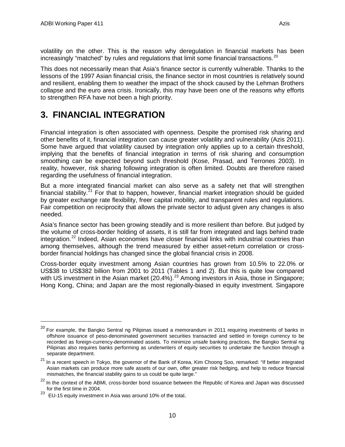volatility on the other. This is the reason why deregulation in financial markets has been increasingly "matched" by rules and regulations that limit some financial transactions.<sup>[20](#page-11-1)</sup>

This does not necessarily mean that Asia's finance sector is currently vulnerable. Thanks to the lessons of the 1997 Asian financial crisis, the finance sector in most countries is relatively sound and resilient, enabling them to weather the impact of the shock caused by the Lehman Brothers collapse and the euro area crisis. Ironically, this may have been one of the reasons why efforts to strengthen RFA have not been a high priority.

# <span id="page-11-0"></span>**3. FINANCIAL INTEGRATION**

Financial integration is often associated with openness. Despite the promised risk sharing and other benefits of it, financial integration can cause greater volatility and vulnerability (Azis 2011). Some have argued that volatility caused by integration only applies up to a certain threshold, implying that the benefits of financial integration in terms of risk sharing and consumption smoothing can be expected beyond such threshold (Kose, Prasad, and Terrones 2003). In reality, however, risk sharing following integration is often limited. Doubts are therefore raised regarding the usefulness of financial integration.

But a more integrated financial market can also serve as a safety net that will strengthen financial stability.<sup>[21](#page-11-2)</sup> For that to happen, however, financial market integration should be guided by greater exchange rate flexibility, freer capital mobility, and transparent rules and regulations. Fair competition on reciprocity that allows the private sector to adjust given any changes is also needed.

Asia's finance sector has been growing steadily and is more resilient than before. But judged by the volume of cross-border holding of assets, it is still far from integrated and lags behind trade integration.<sup>[22](#page-11-3)</sup> Indeed, Asian economies have closer financial links with industrial countries than among themselves, although the trend measured by either asset-return correlation or crossborder financial holdings has changed since the global financial crisis in 2008.

Cross-border equity investment among Asian countries has grown from 10.5% to 22.0% or US\$38 to US\$382 billion from 2001 to 2011 (Tables 1 and 2). But this is quite low compared with US investment in the Asian market (20.4%).<sup>[23](#page-11-4)</sup> Among investors in Asia, those in Singapore; Hong Kong, China; and Japan are the most regionally-biased in equity investment. Singapore

<span id="page-11-1"></span><sup>&</sup>lt;sup>20</sup> For example, the Bangko Sentral ng Pilipinas issued a memorandum in 2011 requiring investments of banks in offshore issuance of peso-denominated government securities transacted and settled in foreign currency to be recorded as foreign-currency-denominated assets. To minimize unsafe banking practices, the Bangko Sentral ng Pilipinas also requires banks performing as underwriters of equity securities to undertake the function through a separate department.

<span id="page-11-2"></span><sup>&</sup>lt;sup>21</sup> In a recent speech in Tokyo, the governor of the Bank of Korea, Kim Choong Soo, remarked: "If better integrated Asian markets can produce more safe assets of our own, offer greater risk hedging, and help to reduce financial mismatches, the financial stability gains to us could be quite large."

<span id="page-11-3"></span><sup>&</sup>lt;sup>22</sup> In the context of the ABMI, cross-border bond issuance between the Republic of Korea and Japan was discussed for the first time in 2004.

<span id="page-11-4"></span> $^{23}$  EU-15 equity investment in Asia was around 10% of the total.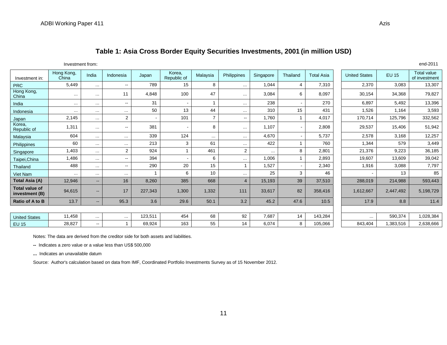## **Table 1: Asia Cross Border Equity Securities Investments, 2001 (in million USD)**

Investment from: end-2011

| Investment in:                          | Hong Kong,<br>China | India                    | Indonesia     | Japan          | Korea,<br>Republic of | Malaysia | Philippines    | Singapore | Thailand                 | <b>Total Asia</b> | <b>United States</b> | <b>EU 15</b> | <b>Total value</b><br>of investment |
|-----------------------------------------|---------------------|--------------------------|---------------|----------------|-----------------------|----------|----------------|-----------|--------------------------|-------------------|----------------------|--------------|-------------------------------------|
| <b>PRC</b>                              | 5,449               | $\cdots$                 | $\sim$        | 789            | 15                    | 8        | $\cdots$       | 1,044     | 4                        | 7,310             | 2,370                | 3,083        | 13,307                              |
| Hong Kong,<br>China                     | $\cdots$            | $\cdots$                 | 11            | 4,848          | 100                   | 47       | $\cdots$       | 3,084     | 6                        | 8,097             | 30,154               | 34,368       | 79,827                              |
| India                                   | $\cdots$            | $\cdots$                 | $\sim$ $\sim$ | 31             |                       |          | $\cdots$       | 238       |                          | 270               | 6,897                | 5,492        | 13,396                              |
| Indonesia                               | $\cdots$            | $\cdots$                 | $\cdots$      | 50             | 13                    | 44       | $\cdots$       | 310       | 15                       | 431               | 1,526                | 1,164        | 3,593                               |
| Japan                                   | 2,145               | $\cdots$                 | 2             | $\blacksquare$ | 101                   | 7        | $\sim$ $\sim$  | 1,760     | 1                        | 4,017             | 170,714              | 125,796      | 332,562                             |
| Korea,<br>Republic of                   | 1,311               | $\cdots$                 | $\sim$        | 381            | $\sim$                | 8        | $\cdots$       | 1,107     | $\overline{\phantom{a}}$ | 2,808             | 29,537               | 15,406       | 51,942                              |
| Malaysia                                | 604                 | $\cdots$                 | $\cdots$      | 339            | 124                   | $\cdots$ | $\cdots$       | 4,670     | $\overline{\phantom{a}}$ | 5,737             | 2,578                | 3,168        | 12,257                              |
| Philippines                             | 60                  | $\cdots$                 | $\cdots$      | 213            | 3                     | 61       | $\cdots$       | 422       |                          | 760               | 1,344                | 579          | 3,449                               |
| Singapore                               | 1,403               | $\cdots$                 | 2             | 924            |                       | 461      | 2              | $\cdots$  | 8                        | 2,801             | 21,376               | 9,223        | 36,185                              |
| Taipei, China                           | 1,486               | $\cdots$                 | $\sim$ $\sim$ | 394            |                       | 6        | $\cdots$       | 1,006     | 1                        | 2,893             | 19,607               | 13,609       | 39,042                              |
| Thailand                                | 488                 | $\cdots$                 | $\mathbf{u}$  | 290            | 20                    | 15       |                | 1,527     | $\overline{\phantom{a}}$ | 2,340             | 1,916                | 3,088        | 7,797                               |
| Viet Nam                                | $\cdots$            | $\cdots$                 | $\cdots$      |                | 6                     | 10       | $\cdots$       | 25        | 3                        | 46                |                      | 13           | 85                                  |
| Total Asia (A)                          | 12,946              | $\overline{\phantom{a}}$ | 16            | 8,260          | 385                   | 668      | $\overline{4}$ | 15,193    | 39                       | 37,510            | 288,019              | 214,988      | 593,443                             |
| <b>Total value of</b><br>investment (B) | 94,615              | $\sim$                   | 17            | 227,343        | 1,300                 | 1,332    | 111            | 33,617    | 82                       | 358,416           | 1,612,667            | 2,447,492    | 5,198,729                           |
| Ratio of A to B                         | 13.7                | $-$                      | 95.3          | 3.6            | 29.6                  | 50.1     | 3.2            | 45.2      | 47.6                     | 10.5              | 17.9                 | 8.8          | 11.4                                |
|                                         |                     |                          |               |                |                       |          |                |           |                          |                   |                      |              |                                     |
| <b>United States</b>                    | 11,458              | $\cdots$                 | $\cdots$      | 123,511        | 454                   | 68       | 92             | 7,687     | 14                       | 143,284           | $\cdots$             | 590,374      | 1,028,384                           |
| <b>EU 15</b>                            | 28,827              | $\sim$                   | 1             | 69,924         | 163                   | 55       | 14             | 6,074     | 8                        | 105,066           | 843,404              | 1,383,516    | 2,638,666                           |

Notes: The data are derived from the creditor side for both assets and liabilities.

**--** Indicates a zero value or a value less than US\$ 500,000

**...** Indicates an unavailable datum

Source: Author's calculation based on data from IMF, Coordinated Portfolio Investments Survey as of 15 November 2012.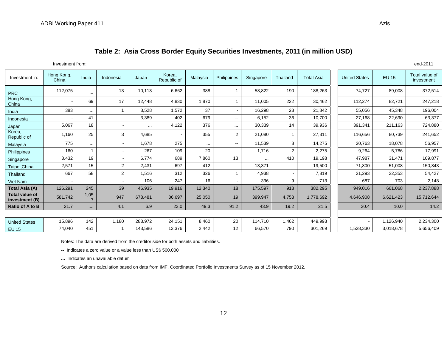### **Table 2: Asia Cross Border Equity Securities Investments, 2011 (in million USD)**

Investment from: end-2011

| Investment in:                          | Hong Kong,<br>China | India                  | Indonesia      | Japan    | Korea.<br>Republic of | Malaysia | Philippines    | Singapore | Thailand | <b>Total Asia</b> | <b>United States</b> | <b>EU 15</b> | Total value of<br>investment |
|-----------------------------------------|---------------------|------------------------|----------------|----------|-----------------------|----------|----------------|-----------|----------|-------------------|----------------------|--------------|------------------------------|
| <b>PRC</b>                              | 112,075             | --                     | 13             | 10,113   | 6,662                 | 388      |                | 58,822    | 190      | 188,263           | 74,727               | 89,008       | 372,514                      |
| Hong Kong,<br>China                     |                     | 69                     | 17             | 12,448   | 4,830                 | 1,870    |                | 11,005    | 222      | 30,462            | 112,274              | 82,721       | 247,218                      |
| India                                   | 383                 | $\cdots$               |                | 3,528    | 1,572                 | 37       |                | 16,298    | 23       | 21,842            | 55,056               | 45,348       | 196,004                      |
| Indonesia                               |                     | 41                     | $\sim$ $\sim$  | 3,389    | 402                   | 679      | $\sim$         | 6,152     | 36       | 10,700            | 27,168               | 22,690       | 63,377                       |
| Japan                                   | 5,067               | 18                     | $\sim$         | $\cdots$ | 4,122                 | 376      | $\cdots$       | 30,339    | 14       | 39,936            | 391,341              | 211,163      | 724,880                      |
| Korea,<br>Republic of                   | 1,160               | 25                     | 3              | 4,685    | $\blacksquare$        | 355      | $\overline{2}$ | 21,080    |          | 27,311            | 116,656              | 80,739       | 241,652                      |
| Malaysia                                | 775                 | $\cdots$               | $\blacksquare$ | 1,678    | 275                   | $\cdots$ | $\sim$ $\sim$  | 11,539    | 8        | 14,275            | 20,763               | 18,078       | 56,957                       |
| Philippines                             | 160                 |                        | $\blacksquare$ | 267      | 109                   | 20       | $\cdots$       | 1,716     | 2        | 2,275             | 9,264                | 5,786        | 17,991                       |
| Singapore                               | 3,432               | 19                     | $\blacksquare$ | 6,774    | 689                   | 7,860    | 13             | $\cdots$  | 410      | 19,198            | 47,987               | 31,471       | 109,877                      |
| Taipei, China                           | 2,571               | 15                     | $\overline{2}$ | 2,431    | 697                   | 412      |                | 13.371    |          | 19,500            | 71,800               | 51,008       | 150,843                      |
| Thailand                                | 667                 | 58                     | $\overline{2}$ | 1,516    | 312                   | 326      |                | 4,938     |          | 7,819             | 21,293               | 22,353       | 54,427                       |
| <b>Viet Nam</b>                         |                     | $\cdots$               | $\blacksquare$ | 106      | 247                   | 16       |                | 336       | 9        | 713               | 687                  | 703          | 2,148                        |
| Total Asia (A)                          | 126,291             | 245                    | 39             | 46,935   | 19,916                | 12,340   | 18             | 175,597   | 913      | 382,295           | 949,016              | 661,068      | 2,237,888                    |
| <b>Total value of</b><br>investment (B) | 581,742             | 1,05<br>$\overline{7}$ | 947            | 678,481  | 86,697                | 25,050   | 19             | 399,947   | 4,753    | 1,778,692         | 4,646,908            | 6,621,423    | 15,712,644                   |
| Ratio of A to B                         | 21.7                | $\cdots$               | 4.1            | 6.9      | 23.0                  | 49.3     | 91.2           | 43.9      | 19.2     | 21.5              | 20.4                 | 10.0         | 14.2                         |
|                                         |                     |                        |                |          |                       |          |                |           |          |                   |                      |              |                              |
| <b>United States</b>                    | 15,896              | 142                    | 1,180          | 283,972  | 24,151                | 8,460    | 20             | 114,710   | 1,462    | 449,993           | $\blacksquare$       | 1,126,940    | 2,234,300                    |
| <b>EU 15</b>                            | 74,040              | 451                    |                | 143,586  | 13,376                | 2,442    | 12             | 66,570    | 790      | 301,269           | 1,528,330            | 3,018,678    | 5,656,409                    |

Notes: The data are derived from the creditor side for both assets and liabilities.

**--** Indicates a zero value or a value less than US\$ 500,000

**...** Indicates an unavailable datum

Source: Author's calculation based on data from IMF, Coordinated Portfolio Investments Survey as of 15 November 2012.

12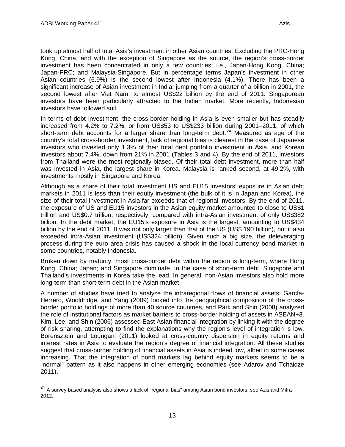took up almost half of total Asia's investment in other Asian countries. Excluding the PRC-Hong Kong, China, and with the exception of Singapore as the source, the region's cross-border investment has been concentrated in only a few countries; i.e., Japan-Hong Kong, China; Japan-PRC; and Malaysia-Singapore. But in percentage terms Japan's investment in other Asian countries (6.9%) is the second lowest after Indonesia (4.1%). There has been a significant increase of Asian investment in India, jumping from a quarter of a billion in 2001, the second lowest after Viet Nam, to almost US\$22 billion by the end of 2011. Singaporean investors have been particularly attracted to the Indian market. More recently, Indonesian investors have followed suit.

In terms of debt investment, the cross-border holding in Asia is even smaller but has steadily increased from 4.2% to 7.2%, or from US\$53 to US\$233 billion during 2001–2011, of which short-term debt accounts for a larger share than long-term debt.<sup>[24](#page-14-0)</sup> Measured as age of the country's total cross-border investment, lack of regional bias is clearest in the case of Japanese investors who invested only 1.3% of their total debt portfolio investment in Asia, and Korean investors about 7.4%, down from 21% in 2001 (Tables 3 and 4). By the end of 2011, investors from Thailand were the most regionally-biased. Of their total debt investment, more than half was invested in Asia, the largest share in Korea. Malaysia is ranked second, at 49.2%, with investments mostly in Singapore and Korea.

Although as a share of their total investment US and EU15 investors' exposure in Asian debt markets in 2011 is less than their equity investment (the bulk of it is in Japan and Korea), the size of their total investment in Asia far exceeds that of regional investors. By the end of 2011, the exposure of US and EU15 investors in the Asian equity market amounted to close to US\$1 trillion and US\$0.7 trillion, respectively, compared with intra-Asian investment of only US\$382 billion. In the debt market, the EU15's exposure in Asia is the largest, amounting to US\$434 billion by the end of 2011. It was not only larger than that of the US (US\$ 190 billion), but it also exceeded intra-Asian investment (US\$324 billion). Given such a big size, the deleveraging process during the euro area crisis has caused a shock in the local currency bond market in some countries, notably Indonesia.

Broken down by maturity, most cross-border debt within the region is long-term, where Hong Kong, China; Japan; and Singapore dominate. In the case of short-term debt, Singapore and Thailand's investments in Korea take the lead. In general, non-Asian investors also hold more long-term than short-term debt in the Asian market.

A number of studies have tried to analyze the intraregional flows of financial assets. García-Herrero, Wooldridge, and Yang (2009) looked into the geographical composition of the crossborder portfolio holdings of more than 40 source countries, and Park and Shin (2008) analyzed the role of institutional factors as market barriers to cross-border holding of assets in ASEAN+3. Kim, Lee, and Shin (2006) assessed East Asian financial integration by linking it with the degree of risk sharing, attempting to find the explanations why the region's level of integration is low. Borensztein and Loungani (2011) looked at cross-country dispersion in equity returns and interest rates in Asia to evaluate the region's degree of financial integration. All these studies suggest that cross-border holding of financial assets in Asia is indeed low, albeit in some cases increasing. That the integration of bond markets lag behind equity markets seems to be a "normal" pattern as it also happens in other emerging economies (see Adarov and Tchaidze 2011).

<span id="page-14-0"></span><sup>&</sup>lt;sup>24</sup> A survey-based analysis also shows a lack of "regional bias" among Asian bond investors; see Azis and Mitra 2012.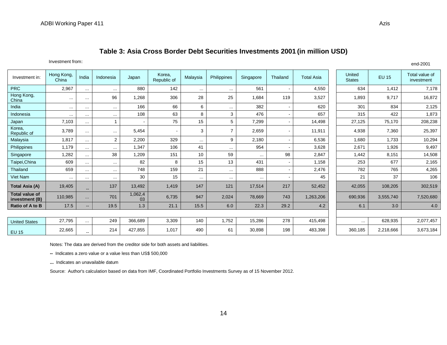#### **Table 3: Asia Cross Border Debt Securities Investments 2001 (in million USD)**

|                                         | Investment from:    |               |                |               |                       |          |                |           |          |                   |                         |         |              | end-2001                     |
|-----------------------------------------|---------------------|---------------|----------------|---------------|-----------------------|----------|----------------|-----------|----------|-------------------|-------------------------|---------|--------------|------------------------------|
| Investment in:                          | Hong Kong,<br>China | India         | Indonesia      | Japan         | Korea,<br>Republic of | Malaysia | Philippines    | Singapore | Thailand | <b>Total Asia</b> | United<br><b>States</b> |         | <b>EU 15</b> | Total value of<br>investment |
| <b>PRC</b>                              | 2,967               | $\cdots$      | $\cdots$       | 880           | 142                   | $\cdots$ | $\cdots$       | 561       |          | 4,550             |                         | 634     | 1,412        | 7,178                        |
| Hong Kong,<br>China                     | $\cdots$            | $\cdots$      | 96             | 1,268         | 306                   | 28       | 25             | 1,684     | 119      | 3,527             |                         | 1,893   | 9,717        | 16,872                       |
| India                                   | $\cdots$            | $\cdots$      | $\cdots$       | 166           | 66                    | 6        | $\cdots$       | 382       |          | 620               |                         | 301     | 834          | 2,125                        |
| Indonesia                               | $\cdots$            | $\sim$ $\sim$ | $\cdots$       | 108           | 63                    | 8        | 3              | 476       |          | 657               |                         | 315     | 422          | 1,873                        |
| Japan                                   | 7,103               | $\cdots$      |                |               | 75                    | 15       | 5              | 7,299     |          | 14,498            |                         | 27,125  | 75,170       | 208,238                      |
| Korea,<br>Republic of                   | 3,789               | $\cdots$      | $\cdots$       | 5,454         |                       | 3        | $\overline{7}$ | 2,659     |          | 11,911            |                         | 4,938   | 7,360        | 25,397                       |
| Malaysia                                | 1,817               | $\cdots$      | $\overline{2}$ | 2,200         | 329                   | $\cdots$ | 9              | 2,180     |          | 6,536             |                         | 1,680   | 1,733        | 10,294                       |
| Philippines                             | 1,179               | $\cdots$      | $\sim$ $\sim$  | 1,347         | 106                   | 41       | $\cdots$       | 954       |          | 3,628             |                         | 2,671   | 1,926        | 9,497                        |
| Singapore                               | 1,282               | $\cdots$      | 38             | 1,209         | 151                   | 10       | 59             | $\cdots$  | 98       | 2,847             |                         | 1,442   | 8,151        | 14,508                       |
| Taipei, China                           | 609                 | $\cdots$      | $\cdots$       | 82            | 8                     | 15       | 13             | 431       |          | 1,158             |                         | 253     | 677          | 2,165                        |
| Thailand                                | 659                 | $\cdots$      | $\sim$ $\sim$  | 748           | 159                   | 21       | $\cdots$       | 888       |          | 2,476             |                         | 782     | 765          | 4,265                        |
| Viet Nam                                | $\cdots$            | $\cdots$      | $\sim$ $\sim$  | 30            | 15                    | $\cdots$ | $\cdots$       | $\cdots$  |          | 45                |                         | 21      | 37           | 106                          |
| <b>Total Asia (A)</b>                   | 19,405              | $\sim$        | 137            | 13,492        | 1,419                 | 147      | 121            | 17,514    | 217      | 52,452            |                         | 42,055  | 108,205      | 302,519                      |
| <b>Total value of</b><br>investment (B) | 110,985             | $\sim$ $\sim$ | 701            | 1,062,4<br>03 | 6,735                 | 947      | 2,024          | 78,669    | 743      | 1,263,206         |                         | 690,936 | 3,555,740    | 7,520,680                    |
| Ratio of A to B                         | 17.5                | $\sim$        | 19.5           | 1.3           | 21.1                  | 15.5     | 6.0            | 22.3      | 29.2     | 4.2               |                         | 6.1     | 3.0          | 4.0                          |
|                                         |                     |               |                |               |                       |          |                |           |          |                   |                         |         |              |                              |

| <b>United States</b> | 27,795 | <br>249 | 366,689 | 3,309 | 140 | .752 | 15,286 | 278 | 415.498 |         | 628.935   | 2,077,457 |
|----------------------|--------|---------|---------|-------|-----|------|--------|-----|---------|---------|-----------|-----------|
| EU 15                | 22,665 | 214     | 427.855 | 1,017 | 490 |      | 30,898 | 198 | 483,398 | 360,185 | 2,218,666 | 3,673,184 |

Notes: The data are derived from the creditor side for both assets and liabilities.

**--** Indicates a zero value or a value less than US\$ 500,000

**...** Indicates an unavailable datum

Source: Author's calculation based on data from IMF, Coordinated Portfolio Investments Survey as of 15 November 2012.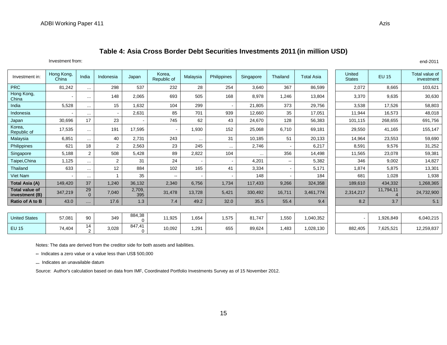Investment from: end-2011

| Investment in:                          | Hong Kong,<br>China | India                | Indonesia | Japan              | Korea,<br>Republic of    | Malaysia                 | Philippines | Singapore | Thailand                 | <b>Total Asia</b> | United<br><b>States</b> | <b>EU 15</b>   | Total value of<br>investment |
|-----------------------------------------|---------------------|----------------------|-----------|--------------------|--------------------------|--------------------------|-------------|-----------|--------------------------|-------------------|-------------------------|----------------|------------------------------|
| <b>PRC</b>                              | 81,242              | $\cdots$             | 298       | 537                | 232                      | 28                       | 254         | 3.640     | 367                      | 86,599            | 2,072                   | 8,665          | 103,621                      |
| Hong Kong,<br>China                     |                     | $\cdots$             | 148       | 2,065              | 693                      | 505                      | 168         | 8,978     | 1,246                    | 13,804            | 3,370                   | 9,635          | 30,630                       |
| India                                   | 5,528               | $\cdots$             | 15        | 1.632              | 104                      | 299                      |             | 21,805    | 373                      | 29,756            | 3,538                   | 17,526         | 58,803                       |
| Indonesia                               |                     | $\cdots$             |           | 2,631              | 85                       | 701                      | 939         | 12,660    | 35                       | 17,051            | 11,944                  | 16,573         | 48,018                       |
| Japan                                   | 30,696              | 17                   | 23        | ۰                  | 745                      | 62                       | 43          | 24,670    | 128                      | 56,383            | 101,115                 | 268,655        | 691,756                      |
| Korea,<br>Republic of                   | 17,535              | $\cdots$             | 191       | 17,595             |                          | 1,930                    | 152         | 25,068    | 6,710                    | 69,181            | 29,550                  | 41,165         | 155,147                      |
| Malaysia                                | 6,851               | $\cdots$             | 40        | 2,731              | 243                      | $\ldots$                 | 31          | 10,185    | 51                       | 20,133            | 14,964                  | 23,553         | 59,690                       |
| Philippines                             | 621                 | 18                   | 2         | 2,563              | 23                       | 245                      | $\cdots$    | 2.746     |                          | 6,217             | 8,591                   | 9,576          | 31,252                       |
| Singapore                               | 5,188               | $\overline{2}$       | 508       | 5,428              | 89                       | 2,822                    | 104         | $\cdots$  | 356                      | 14,498            | 11,565                  | 23,078         | 59,381                       |
| Taipei, China                           | 1,125               | $\cdots$             | 2         | 31                 | 24                       | $\overline{\phantom{a}}$ |             | 4,201     | $\overline{\phantom{a}}$ | 5,382             | 346                     | 9,002          | 14,827                       |
| Thailand                                | 633                 | $\cdots$             | 12        | 884                | 102                      | 165                      | 41          | 3,334     | $\overline{a}$           | 5,171             | 1,874                   | 5,875          | 13,301                       |
| Viet Nam                                |                     | $\cdots$             |           | 35                 | $\overline{\phantom{a}}$ | $\overline{\phantom{a}}$ |             | 148       |                          | 184               | 681                     | 1,028          | 1,938                        |
| Total Asia (A)                          | 149,420             | 37                   | 1,240     | 36,132             | 2,340                    | 6,756                    | 1,734       | 117,433   | 9,266                    | 324,358           | 189,610                 | 434,332        | 1,268,365                    |
| <b>Total value of</b><br>investment (B) | 347,219             | 29<br>$\overline{0}$ | 7,040     | 2,709,<br>395      | 31,478                   | 13,728                   | 5,421       | 330,492   | 16,711                   | 3,461,774         | 2,314,217               | 11,794,11<br>4 | 24,732,900                   |
| Ratio of A to B                         | 43.0                | $\cdots$             | 17.6      | 1.3                | 7.4                      | 49.2                     | 32.0        | 35.5      | 55.4                     | 9.4               | 8.2                     | 3.7            | 5.1                          |
|                                         |                     |                      |           |                    |                          |                          |             |           |                          |                   |                         |                |                              |
| <b>United States</b>                    | 57,081              | 90                   | 349       | 884,38<br>$\Omega$ | 11,925                   | 1,654                    | 1,575       | 81,747    | 1,550                    | 1,040,352         |                         | 1,926,849      | 6,040,215                    |
| <b>EU 15</b>                            | 74,404              | 14<br>$\overline{2}$ | 3,028     | 847,41<br>$\Omega$ | 10,092                   | 1,291                    | 655         | 89,624    | 1,483                    | 1,028,130         | 882,405                 | 7,625,521      | 12,259,837                   |

Notes: The data are derived from the creditor side for both assets and liabilities.

**--** Indicates a zero value or a value less than US\$ 500,000

**...** Indicates an unavailable datum

Source: Author's calculation based on data from IMF, Coordinated Portfolio Investments Survey as of 15 November 2012.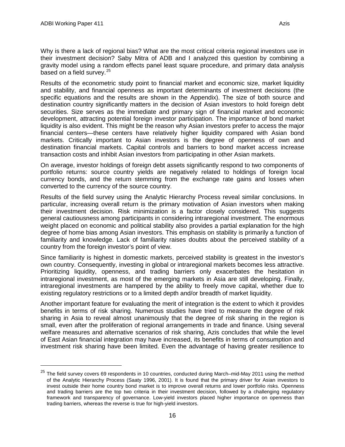Why is there a lack of regional bias? What are the most critical criteria regional investors use in their investment decision? Saby Mitra of ADB and I analyzed this question by combining a gravity model using a random effects panel least square procedure, and primary data analysis based on a field survey. $25$ 

Results of the econometric study point to financial market and economic size, market liquidity and stability, and financial openness as important determinants of investment decisions (the specific equations and the results are shown in the Appendix). The size of both source and destination country significantly matters in the decision of Asian investors to hold foreign debt securities. Size serves as the immediate and primary sign of financial market and economic development, attracting potential foreign investor participation. The importance of bond market liquidity is also evident. This might be the reason why Asian investors prefer to access the major financial centers—these centers have relatively higher liquidity compared with Asian bond markets. Critically important to Asian investors is the degree of openness of own and destination financial markets. Capital controls and barriers to bond market access increase transaction costs and inhibit Asian investors from participating in other Asian markets.

On average, investor holdings of foreign debt assets significantly respond to two components of portfolio returns: source country yields are negatively related to holdings of foreign local currency bonds, and the return stemming from the exchange rate gains and losses when converted to the currency of the source country.

Results of the field survey using the Analytic Hierarchy Process reveal similar conclusions. In particular, increasing overall return is the primary motivation of Asian investors when making their investment decision. Risk minimization is a factor closely considered. This suggests general cautiousness among participants in considering intraregional investment. The enormous weight placed on economic and political stability also provides a partial explanation for the high degree of home bias among Asian investors. This emphasis on stability is primarily a function of familiarity and knowledge. Lack of familiarity raises doubts about the perceived stability of a country from the foreign investor's point of view.

Since familiarity is highest in domestic markets, perceived stability is greatest in the investor's own country. Consequently, investing in global or intraregional markets becomes less attractive. Prioritizing liquidity, openness, and trading barriers only exacerbates the hesitation in intraregional investment, as most of the emerging markets in Asia are still developing. Finally, intraregional investments are hampered by the ability to freely move capital, whether due to existing regulatory restrictions or to a limited depth and/or breadth of market liquidity.

Another important feature for evaluating the merit of integration is the extent to which it provides benefits in terms of risk sharing. Numerous studies have tried to measure the degree of risk sharing in Asia to reveal almost unanimously that the degree of risk sharing in the region is small, even after the proliferation of regional arrangements in trade and finance. Using several welfare measures and alternative scenarios of risk sharing, Azis concludes that while the level of East Asian financial integration may have increased, its benefits in terms of consumption and investment risk sharing have been limited. Even the advantage of having greater resilience to

<span id="page-17-0"></span><sup>&</sup>lt;sup>25</sup> The field survey covers 69 respondents in 10 countries, conducted during March–mid-May 2011 using the method of the Analytic Hierarchy Process (Saaty 1996, 2001). It is found that the primary driver for Asian investors to invest outside their home country bond market is to improve overall returns and lower portfolio risks. Openness and trading barriers are the top two criteria in their investment decision, followed by a challenging regulatory framework and transparency of governance. Low-yield investors placed higher importance on openness than trading barriers, whereas the reverse is true for high-yield investors.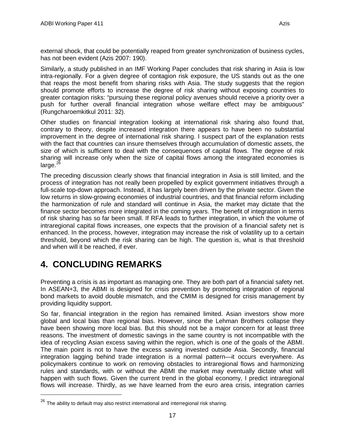external shock, that could be potentially reaped from greater synchronization of business cycles, has not been evident (Azis 2007: 190).

Similarly, a study published in an IMF Working Paper concludes that risk sharing in Asia is low intra-regionally. For a given degree of contagion risk exposure, the US stands out as the one that reaps the most benefit from sharing risks with Asia. The study suggests that the region should promote efforts to increase the degree of risk sharing without exposing countries to greater contagion risks: "pursuing these regional policy avenues should receive a priority over a push for further overall financial integration whose welfare effect may be ambiguous" (Rungcharoemkitkul 2011: 32).

Other studies on financial integration looking at international risk sharing also found that, contrary to theory, despite increased integration there appears to have been no substantial improvement in the degree of international risk sharing. I suspect part of the explanation rests with the fact that countries can insure themselves through accumulation of domestic assets, the size of which is sufficient to deal with the consequences of capital flows. The degree of risk sharing will increase only when the size of capital flows among the integrated economies is large. $^{26}$  $^{26}$  $^{26}$ 

The preceding discussion clearly shows that financial integration in Asia is still limited, and the process of integration has not really been propelled by explicit government initiatives through a full-scale top-down approach. Instead, it has largely been driven by the private sector. Given the low returns in slow-growing economies of industrial countries, and that financial reform including the harmonization of rule and standard will continue in Asia, the market may dictate that the finance sector becomes more integrated in the coming years. The benefit of integration in terms of risk sharing has so far been small. If RFA leads to further integration, in which the volume of intraregional capital flows increases, one expects that the provision of a financial safety net is enhanced. In the process, however, integration may increase the risk of volatility up to a certain threshold, beyond which the risk sharing can be high. The question is, what is that threshold and when will it be reached, if ever.

# <span id="page-18-0"></span>**4. CONCLUDING REMARKS**

Preventing a crisis is as important as managing one. They are both part of a financial safety net. In ASEAN+3, the ABMI is designed for crisis prevention by promoting integration of regional bond markets to avoid double mismatch, and the CMIM is designed for crisis management by providing liquidity support.

So far, financial integration in the region has remained limited. Asian investors show more global and local bias than regional bias. However, since the Lehman Brothers collapse they have been showing more local bias. But this should not be a major concern for at least three reasons. The investment of domestic savings in the same country is not incompatible with the idea of recycling Asian excess saving within the region, which is one of the goals of the ABMI. The main point is not to have the excess saving invested outside Asia. Secondly, financial integration lagging behind trade integration is a normal pattern—it occurs everywhere. As policymakers continue to work on removing obstacles to intraregional flows and harmonizing rules and standards, with or without the ABMI the market may eventually dictate what will happen with such flows. Given the current trend in the global economy, I predict intraregional flows will increase. Thirdly, as we have learned from the euro area crisis, integration carries

<span id="page-18-1"></span> $26$  The ability to default may also restrict international and interregional risk sharing.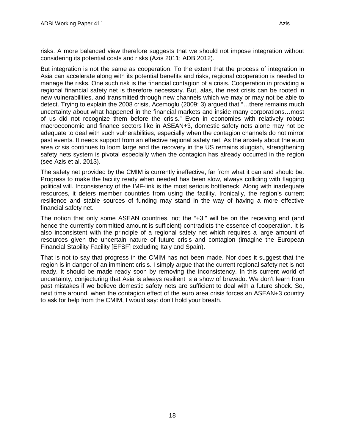risks. A more balanced view therefore suggests that we should not impose integration without considering its potential costs and risks (Azis 2011; ADB 2012).

But integration is not the same as cooperation. To the extent that the process of integration in Asia can accelerate along with its potential benefits and risks, regional cooperation is needed to manage the risks. One such risk is the financial contagion of a crisis. Cooperation in providing a regional financial safety net is therefore necessary. But, alas, the next crisis can be rooted in new vulnerabilities, and transmitted through new channels which we may or may not be able to detect. Trying to explain the 2008 crisis, Acemoglu (2009: 3) argued that "…there remains much uncertainty about what happened in the financial markets and inside many corporations…most of us did not recognize them before the crisis." Even in economies with relatively robust macroeconomic and finance sectors like in ASEAN+3, domestic safety nets alone may not be adequate to deal with such vulnerabilities, especially when the contagion channels do not mirror past events. It needs support from an effective regional safety net. As the anxiety about the euro area crisis continues to loom large and the recovery in the US remains sluggish, strengthening safety nets system is pivotal especially when the contagion has already occurred in the region (see Azis et al. 2013).

The safety net provided by the CMIM is currently ineffective, far from what it can and should be. Progress to make the facility ready when needed has been slow, always colliding with flagging political will. Inconsistency of the IMF-link is the most serious bottleneck. Along with inadequate resources, it deters member countries from using the facility. Ironically, the region's current resilience and stable sources of funding may stand in the way of having a more effective financial safety net.

The notion that only some ASEAN countries, not the "+3," will be on the receiving end (and hence the currently committed amount is sufficient) contradicts the essence of cooperation. It is also inconsistent with the principle of a regional safety net which requires a large amount of resources given the uncertain nature of future crisis and contagion (imagine the European Financial Stability Facility [EFSF] excluding Italy and Spain).

That is not to say that progress in the CMIM has not been made. Nor does it suggest that the region is in danger of an imminent crisis. I simply argue that the current regional safety net is not ready. It should be made ready soon by removing the inconsistency. In this current world of uncertainty, conjecturing that Asia is always resilient is a show of bravado. We don't learn from past mistakes if we believe domestic safety nets are sufficient to deal with a future shock. So, next time around, when the contagion effect of the euro area crisis forces an ASEAN+3 country to ask for help from the CMIM, I would say: don't hold your breath.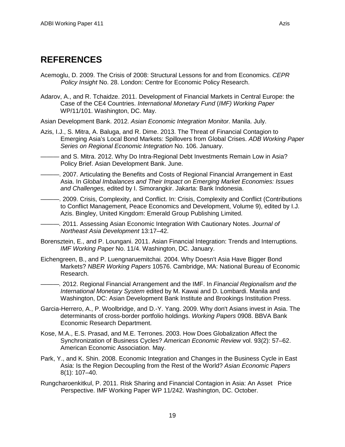## <span id="page-20-0"></span>**REFERENCES**

- Acemoglu, D. 2009. The Crisis of 2008: Structural Lessons for and from Economics. *CEPR Policy Insight* No. 28. London: Centre for Economic Policy Research.
- Adarov, A., and R. Tchaidze. 2011. Development of Financial Markets in Central Europe: the Case of the CE4 Countries. *International Monetary Fund* (*IMF) Working Paper* WP/11/101. Washington, DC. May.

Asian Development Bank. 2012. *Asian Economic Integration Monitor.* Manila. July.

- Azis, I.J., S. Mitra, A. Baluga, and R. Dime. 2013. The Threat of Financial Contagion to Emerging Asia's Local Bond Markets: Spillovers from Global Crises. *ADB Working Paper Series on Regional Economic Integration* No. 106. January.
- *———* and S. Mitra. 2012. Why Do Intra-Regional Debt Investments Remain Low in Asia? Policy Brief. Asian Development Bank. June.
- *———*. 2007. Articulating the Benefits and Costs of Regional Financial Arrangement in East Asia. In *Global Imbalances and Their Impact on Emerging Market Economies: Issues and Challenges,* edited by I. Simorangkir. Jakarta: Bank Indonesia.
- ———. 2009. Crisis, Complexity, and Conflict. In: Crisis, Complexity and Conflict (Contributions to Conflict Management, Peace Economics and Development, Volume 9), edited by I.J. Azis. Bingley, United Kingdom: Emerald Group Publishing Limited.
- *———.* 2011. Assessing Asian Economic Integration With Cautionary Notes. *Journal of Northeast Asia Development* 13:17–42.
- Borensztein, E., and P. Loungani. 2011. Asian Financial Integration: Trends and Interruptions. *IMF Working Paper* No. 11/4. Washington, DC. January.
- Eichengreen, B., and P. Luengnaruemitchai. 2004. Why Doesn't Asia Have Bigger Bond Markets? *NBER Working Papers* 10576. Cambridge, MA: National Bureau of Economic Research.

*———.* 2012. Regional Financial Arrangement and the IMF. In *Financial Regionalism and the International Monetary System* edited by M. Kawai and D. Lombardi. Manila and Washington, DC: Asian Development Bank Institute and Brookings Institution Press.

- Garcia-Herrero, A., P. Woolbridge, and D.-Y. Yang. 2009. Why don't Asians invest in Asia. The determinants of cross-border portfolio holdings. *Working Papers* 0908. BBVA Bank Economic Research Department.
- Kose, M.A., E.S. Prasad, and M.E. Terrones. 2003. How Does Globalization Affect the Synchronization of Business Cycles? *American Economic Review* vol. 93(2): 57–62. American Economic Association. May.
- Park, Y., and K. Shin. 2008. Economic Integration and Changes in the Business Cycle in East Asia: Is the Region Decoupling from the Rest of the World? *Asian Economic Papers*  8(1): 107–40.
- Rungcharoenkitkul, P. 2011. Risk Sharing and Financial Contagion in Asia: An Asset Price Perspective. IMF Working Paper WP 11/242. Washington, DC. October.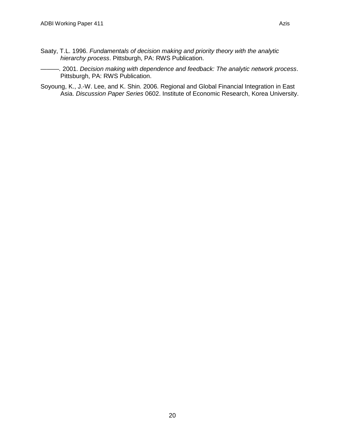- Saaty, T.L. 1996. *Fundamentals of decision making and priority theory with the analytic hierarchy process*. Pittsburgh, PA: RWS Publication.
- *———.* 2001. *Decision making with dependence and feedback: The analytic network process*. Pittsburgh, PA: RWS Publication.
- Soyoung, K., J.-W. Lee, and K. Shin. 2006. Regional and Global Financial Integration in East Asia. *Discussion Paper Series* 0602. Institute of Economic Research, Korea University.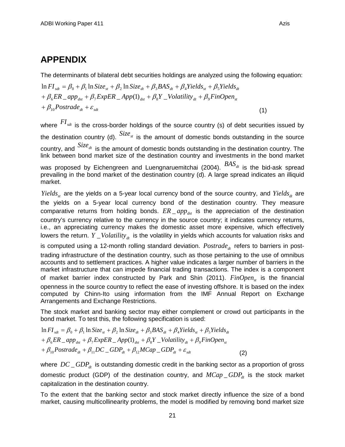### <span id="page-22-0"></span>**APPENDIX**

The determinants of bilateral debt securities holdings are analyzed using the following equation:

 $+\beta_{10}$ Postrade<sub>dt</sub> +  $\varepsilon_{\textit{sdt}}$  $\theta_{\rm t} + \beta_{\rm g} ER \Delta_{\rm gpt} + \beta_{\rm g} ExpER \Delta_{\rm f} App(1)_{\rm dst} + \beta_{\rm g} Y \Delta_{\rm o} Volatility_{\rm dt} + \beta_{\rm g} FinOpen_{\rm st}$  $\ln FI_{sdt} = \beta_0 + \beta_1 \ln Size_{st} + \beta_2 \ln Size_{dt} + \beta_3 BAS_{dt} + \beta_4 Yields_{st} + \beta_5 Yields_{dt}$ (1)

where  $^{FI}_{stat}$  is the cross-border holdings of the source country (s) of debt securities issued by the destination country (d).  $size_{st}$  is the amount of domestic bonds outstanding in the source country, and  $Size_{dt}$  is the amount of domestic bonds outstanding in the destination country. The link between bond market size of the destination country and investments in the bond market was proposed by Eichengreen and Luengnaruemitchai (2004).  $BAS_{dt}$  is the bid-ask spread prevailing in the bond market of the destination country (d). A large spread indicates an illiquid market.

*Yields<sub>st</sub>* are the yields on a 5-year local currency bond of the source country, and *Yields<sub>dt</sub>* are the yields on a 5-year local currency bond of the destination country. They measure comparative returns from holding bonds.  $ER \_app_{dst}$  is the appreciation of the destination country's currency relative to the currency in the source country; it indicates currency returns, i.e., an appreciating currency makes the domestic asset more expensive, which effectively lowers the return. *Y Volatility<sub>dt</sub>* is the volatility in yields which accounts for valuation risks and is computed using a 12-month rolling standard deviation. *Postrade<sub>de</sub>* refers to barriers in posttrading infrastructure of the destination country, such as those pertaining to the use of omnibus accounts and to settlement practices. A higher value indicates a larger number of barriers in the market infrastructure that can impede financial trading transactions. The index is a component of market barrier index constructed by Park and Shin (2011). *FinOpen<sub>s</sub>* is the financial openness in the source country to reflect the ease of investing offshore. It is based on the index computed by Chinn-Ito using information from the IMF Annual Report on Exchange Arrangements and Exchange Restrictions.

The stock market and banking sector may either complement or crowd out participants in the bond market. To test this, the following specification is used:

 $\theta + \beta_{10}$ Postrade<sub>dt</sub></sub> +  $\beta_{11}$ DC  $\_\text{GDP}_{dt}$  +  $\beta_{12}$ MCap  $\_\text{GDP}_{dt}$  +  $\varepsilon_{sdt}$  $a + \beta_6 ER \_app_{dst} + \beta_7 ExpER \_App(1)_{dst} + \beta_8 Y \_Volatility_{dt} + \beta_9 FinOpen_{st}$  $\ln{FI}_{sdt} = \beta_0 + \beta_1 \ln{Size}_{st} + \beta_2 \ln{Size}_{dt} + \beta_3 BAS_{dt} + \beta_4 Yields_{st} + \beta_5 Yields_{dt}$ (2)

where  $DC\_GDP_{dt}$  is outstanding domestic credit in the banking sector as a proportion of gross domestic product (GDP) of the destination country, and  $MCap\_GDP_{dt}$  is the stock market capitalization in the destination country.

To the extent that the banking sector and stock market directly influence the size of a bond market, causing multicollinearity problems, the model is modified by removing bond market size